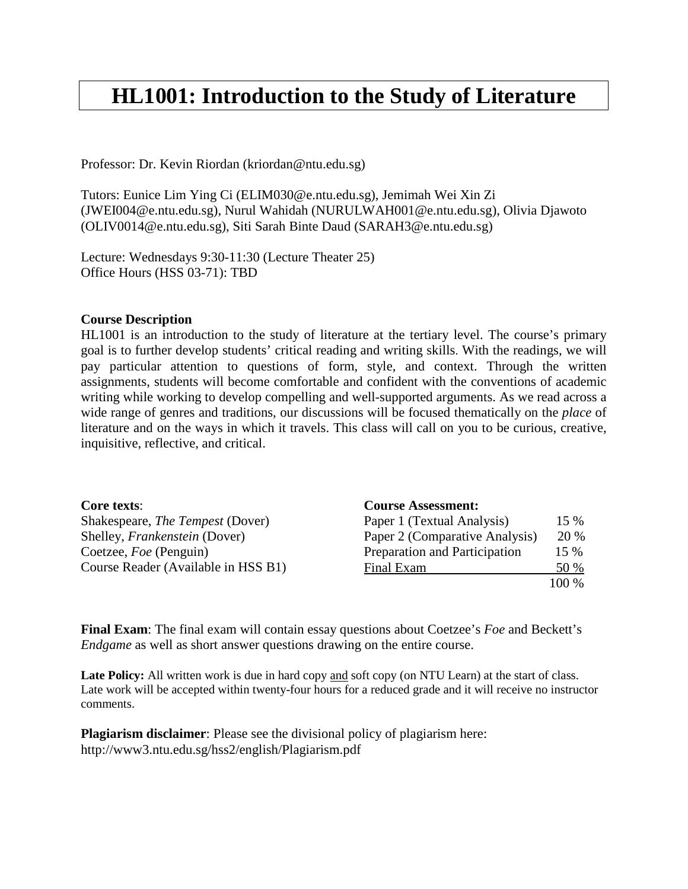# **HL1001: Introduction to the Study of Literature**

Professor: Dr. Kevin Riordan (kriordan@ntu.edu.sg)

Tutors: Eunice Lim Ying Ci (ELIM030@e.ntu.edu.sg), Jemimah Wei Xin Zi (JWEI004@e.ntu.edu.sg), Nurul Wahidah (NURULWAH001@e.ntu.edu.sg), Olivia Djawoto (OLIV0014@e.ntu.edu.sg), Siti Sarah Binte Daud (SARAH3@e.ntu.edu.sg)

Lecture: Wednesdays 9:30-11:30 (Lecture Theater 25) Office Hours (HSS 03-71): TBD

#### **Course Description**

HL1001 is an introduction to the study of literature at the tertiary level. The course's primary goal is to further develop students' critical reading and writing skills. With the readings, we will pay particular attention to questions of form, style, and context. Through the written assignments, students will become comfortable and confident with the conventions of academic writing while working to develop compelling and well-supported arguments. As we read across a wide range of genres and traditions, our discussions will be focused thematically on the *place* of literature and on the ways in which it travels. This class will call on you to be curious, creative, inquisitive, reflective, and critical.

| Core texts:                             | <b>Course Assessment:</b>      |        |
|-----------------------------------------|--------------------------------|--------|
| Shakespeare, <i>The Tempest</i> (Dover) | Paper 1 (Textual Analysis)     | $15\%$ |
| Shelley, <i>Frankenstein</i> (Dover)    | Paper 2 (Comparative Analysis) | 20 %   |
| Coetzee, <i>Foe</i> (Penguin)           | Preparation and Participation  | 15 %   |
| Course Reader (Available in HSS B1)     | Final Exam                     | 50 %   |
|                                         |                                | 100 %  |

**Final Exam**: The final exam will contain essay questions about Coetzee's *Foe* and Beckett's *Endgame* as well as short answer questions drawing on the entire course.

Late Policy: All written work is due in hard copy and soft copy (on NTU Learn) at the start of class. Late work will be accepted within twenty-four hours for a reduced grade and it will receive no instructor comments.

**Plagiarism disclaimer**: Please see the divisional policy of plagiarism here: http://www3.ntu.edu.sg/hss2/english/Plagiarism.pdf